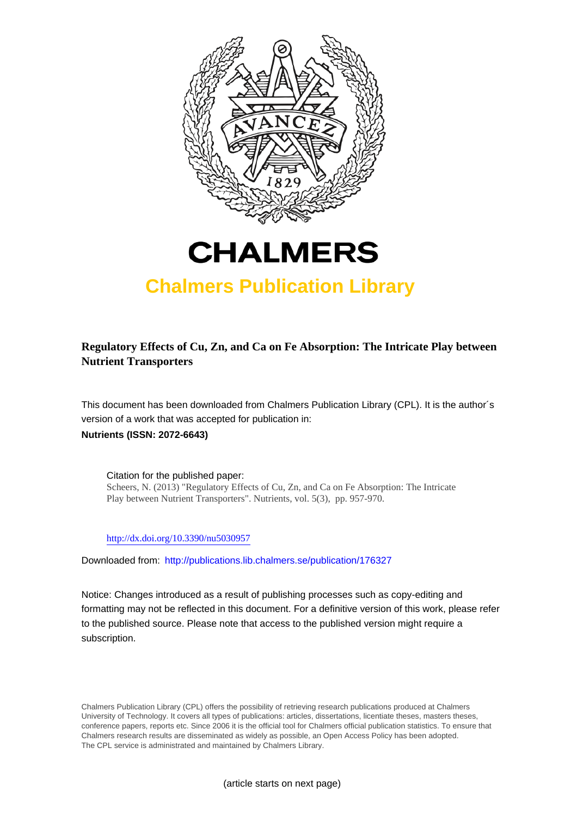



# **Chalmers Publication Library**

**Regulatory Effects of Cu, Zn, and Ca on Fe Absorption: The Intricate Play between Nutrient Transporters**

This document has been downloaded from Chalmers Publication Library (CPL). It is the author´s version of a work that was accepted for publication in: **Nutrients (ISSN: 2072-6643)**

Citation for the published paper: Scheers, N. (2013) "Regulatory Effects of Cu, Zn, and Ca on Fe Absorption: The Intricate Play between Nutrient Transporters". Nutrients, vol. 5(3), pp. 957-970.

<http://dx.doi.org/10.3390/nu5030957>

Downloaded from: <http://publications.lib.chalmers.se/publication/176327>

Notice: Changes introduced as a result of publishing processes such as copy-editing and formatting may not be reflected in this document. For a definitive version of this work, please refer to the published source. Please note that access to the published version might require a subscription.

Chalmers Publication Library (CPL) offers the possibility of retrieving research publications produced at Chalmers University of Technology. It covers all types of publications: articles, dissertations, licentiate theses, masters theses, conference papers, reports etc. Since 2006 it is the official tool for Chalmers official publication statistics. To ensure that Chalmers research results are disseminated as widely as possible, an Open Access Policy has been adopted. The CPL service is administrated and maintained by Chalmers Library.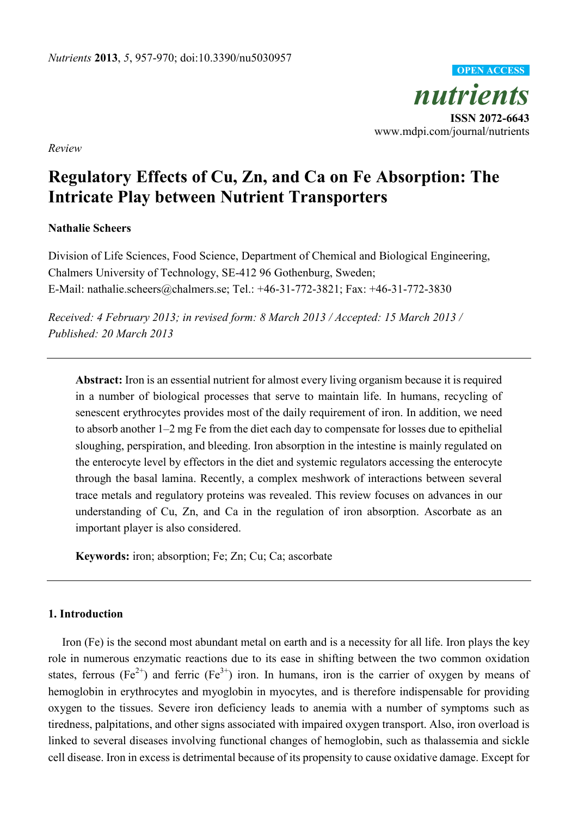

*Review*

# **Regulatory Effects of Cu, Zn, and Ca on Fe Absorption: The Intricate Play between Nutrient Transporters**

# **Nathalie Scheers**

Division of Life Sciences, Food Science, Department of Chemical and Biological Engineering, Chalmers University of Technology, SE-412 96 Gothenburg, Sweden; E-Mail: nathalie.scheers@chalmers.se; Tel.: +46-31-772-3821; Fax: +46-31-772-3830

*Received: 4 February 2013; in revised form: 8 March 2013 / Accepted: 15 March 2013 / Published: 20 March 2013*

**Abstract:** Iron is an essential nutrient for almost every living organism because it is required in a number of biological processes that serve to maintain life. In humans, recycling of senescent erythrocytes provides most of the daily requirement of iron. In addition, we need to absorb another 1–2 mg Fe from the diet each day to compensate for losses due to epithelial sloughing, perspiration, and bleeding. Iron absorption in the intestine is mainly regulated on the enterocyte level by effectors in the diet and systemic regulators accessing the enterocyte through the basal lamina. Recently, a complex meshwork of interactions between several trace metals and regulatory proteins was revealed. This review focuses on advances in our understanding of Cu, Zn, and Ca in the regulation of iron absorption. Ascorbate as an important player is also considered.

**Keywords:** iron; absorption; Fe; Zn; Cu; Ca; ascorbate

# **1. Introduction**

Iron (Fe) is the second most abundant metal on earth and is a necessity for all life. Iron plays the key role in numerous enzymatic reactions due to its ease in shifting between the two common oxidation states, ferrous (Fe<sup>2+</sup>) and ferric (Fe<sup>3+</sup>) iron. In humans, iron is the carrier of oxygen by means of hemoglobin in erythrocytes and myoglobin in myocytes, and is therefore indispensable for providing oxygen to the tissues. Severe iron deficiency leads to anemia with a number of symptoms such as tiredness, palpitations, and other signs associated with impaired oxygen transport. Also, iron overload is linked to several diseases involving functional changes of hemoglobin, such as thalassemia and sickle cell disease. Iron in excess is detrimental because of its propensity to cause oxidative damage. Except for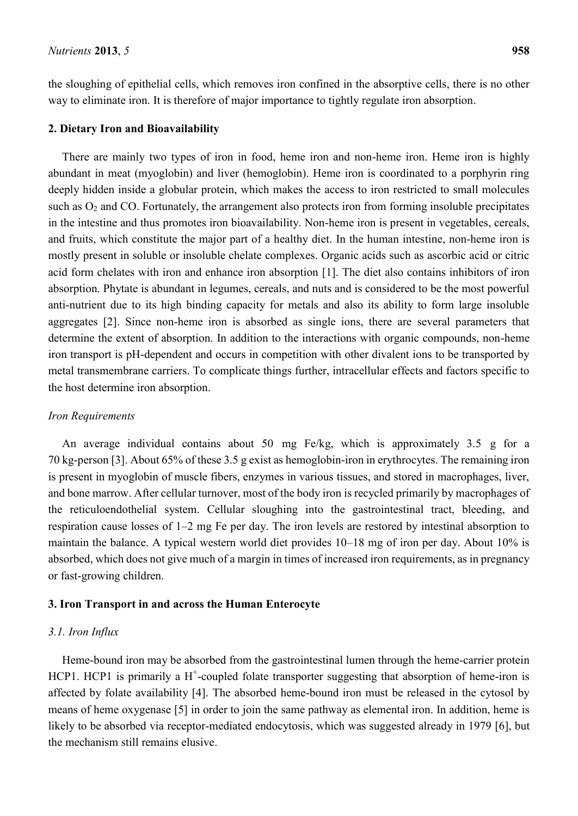the sloughing of epithelial cells, which removes iron confined in the absorptive cells, there is no other way to eliminate iron. It is therefore of major importance to tightly regulate iron absorption.

#### **2. Dietary Iron and Bioavailability**

There are mainly two types of iron in food, heme iron and non-heme iron. Heme iron is highly abundant in meat (myoglobin) and liver (hemoglobin). Heme iron is coordinated to a porphyrin ring deeply hidden inside a globular protein, which makes the access to iron restricted to small molecules such as  $O_2$  and CO. Fortunately, the arrangement also protects iron from forming insoluble precipitates in the intestine and thus promotes iron bioavailability. Non-heme iron is present in vegetables, cereals, and fruits, which constitute the major part of a healthy diet. In the human intestine, non-heme iron is mostly present in soluble or insoluble chelate complexes. Organic acids such as ascorbic acid or citric acid form chelates with iron and enhance iron absorption [1]. The diet also contains inhibitors of iron absorption. Phytate is abundant in legumes, cereals, and nuts and is considered to be the most powerful anti-nutrient due to its high binding capacity for metals and also its ability to form large insoluble aggregates [2]. Since non-heme iron is absorbed as single ions, there are several parameters that determine the extent of absorption. In addition to the interactions with organic compounds, non-heme iron transport is pH-dependent and occurs in competition with other divalent ions to be transported by metal transmembrane carriers. To complicate things further, intracellular effects and factors specific to the host determine iron absorption.

#### *Iron Requirements*

An average individual contains about 50 mg Fe/kg, which is approximately 3.5 g for a 70 kg-person [3]. About 65% of these 3.5 g exist as hemoglobin-iron in erythrocytes. The remaining iron is present in myoglobin of muscle fibers, enzymes in various tissues, and stored in macrophages, liver, and bone marrow. After cellular turnover, most of the body iron is recycled primarily by macrophages of the reticuloendothelial system. Cellular sloughing into the gastrointestinal tract, bleeding, and respiration cause losses of 1–2 mg Fe per day. The iron levels are restored by intestinal absorption to maintain the balance. A typical western world diet provides 10–18 mg of iron per day. About 10% is absorbed, which does not give much of a margin in times of increased iron requirements, as in pregnancy or fast-growing children.

# **3. Iron Transport in and across the Human Enterocyte**

## *3.1. Iron Influx*

Heme-bound iron may be absorbed from the gastrointestinal lumen through the heme-carrier protein HCP1. HCP1 is primarily a  $H^+$ -coupled folate transporter suggesting that absorption of heme-iron is affected by folate availability [4]. The absorbed heme-bound iron must be released in the cytosol by means of heme oxygenase [5] in order to join the same pathway as elemental iron. In addition, heme is likely to be absorbed via receptor-mediated endocytosis, which was suggested already in 1979 [6], but the mechanism still remains elusive.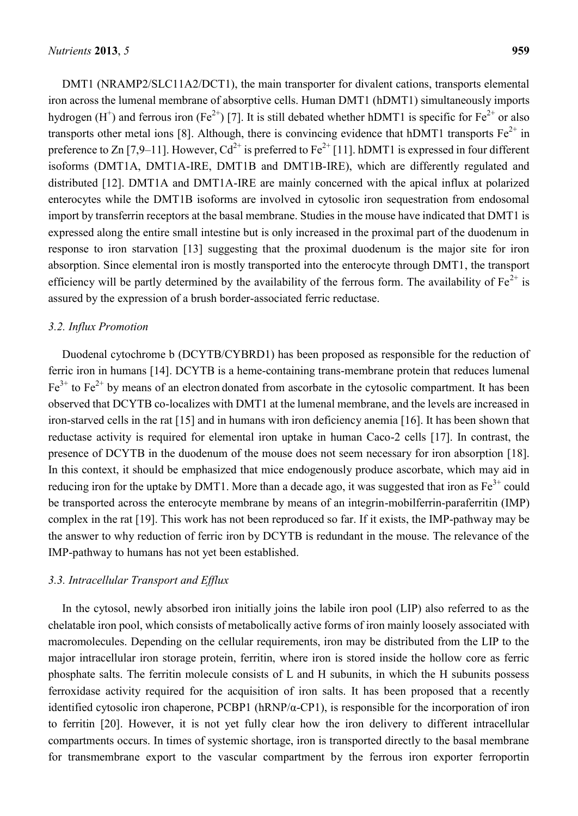DMT1 (NRAMP2/SLC11A2/DCT1), the main transporter for divalent cations, transports elemental iron across the lumenal membrane of absorptive cells. Human DMT1 (hDMT1) simultaneously imports hydrogen (H<sup>+</sup>) and ferrous iron (Fe<sup>2+</sup>) [7]. It is still debated whether hDMT1 is specific for Fe<sup>2+</sup> or also transports other metal ions [8]. Although, there is convincing evidence that hDMT1 transports  $Fe^{2+}$  in preference to Zn [7,9–11]. However,  $Cd^{2+}$  is preferred to Fe<sup>2+</sup> [11]. hDMT1 is expressed in four different isoforms (DMT1A, DMT1A-IRE, DMT1B and DMT1B-IRE), which are differently regulated and distributed [12]. DMT1A and DMT1A-IRE are mainly concerned with the apical influx at polarized enterocytes while the DMT1B isoforms are involved in cytosolic iron sequestration from endosomal import by transferrin receptors at the basal membrane. Studies in the mouse have indicated that DMT1 is expressed along the entire small intestine but is only increased in the proximal part of the duodenum in response to iron starvation [13] suggesting that the proximal duodenum is the major site for iron absorption. Since elemental iron is mostly transported into the enterocyte through DMT1, the transport efficiency will be partly determined by the availability of the ferrous form. The availability of  $Fe^{2+}$  is assured by the expression of a brush border-associated ferric reductase.

# *3.2. Influx Promotion*

Duodenal cytochrome b (DCYTB/CYBRD1) has been proposed as responsible for the reduction of ferric iron in humans [14]. DCYTB is a heme-containing trans-membrane protein that reduces lumenal  $Fe<sup>3+</sup>$  to  $Fe<sup>2+</sup>$  by means of an electron donated from ascorbate in the cytosolic compartment. It has been observed that DCYTB co-localizes with DMT1 at the lumenal membrane, and the levels are increased in iron-starved cells in the rat [15] and in humans with iron deficiency anemia [16]. It has been shown that reductase activity is required for elemental iron uptake in human Caco-2 cells [17]. In contrast, the presence of DCYTB in the duodenum of the mouse does not seem necessary for iron absorption [18]. In this context, it should be emphasized that mice endogenously produce ascorbate, which may aid in reducing iron for the uptake by DMT1. More than a decade ago, it was suggested that iron as  $Fe<sup>3+</sup>$  could be transported across the enterocyte membrane by means of an integrin-mobilferrin-paraferritin (IMP) complex in the rat [19]. This work has not been reproduced so far. If it exists, the IMP-pathway may be the answer to why reduction of ferric iron by DCYTB is redundant in the mouse. The relevance of the IMP-pathway to humans has not yet been established.

# *3.3. Intracellular Transport and Efflux*

In the cytosol, newly absorbed iron initially joins the labile iron pool (LIP) also referred to as the chelatable iron pool, which consists of metabolically active forms of iron mainly loosely associated with macromolecules. Depending on the cellular requirements, iron may be distributed from the LIP to the major intracellular iron storage protein, ferritin, where iron is stored inside the hollow core as ferric phosphate salts. The ferritin molecule consists of L and H subunits, in which the H subunits possess ferroxidase activity required for the acquisition of iron salts. It has been proposed that a recently identified cytosolic iron chaperone, PCBP1 (hRNP/α-CP1), is responsible for the incorporation of iron to ferritin [20]. However, it is not yet fully clear how the iron delivery to different intracellular compartments occurs. In times of systemic shortage, iron is transported directly to the basal membrane for transmembrane export to the vascular compartment by the ferrous iron exporter ferroportin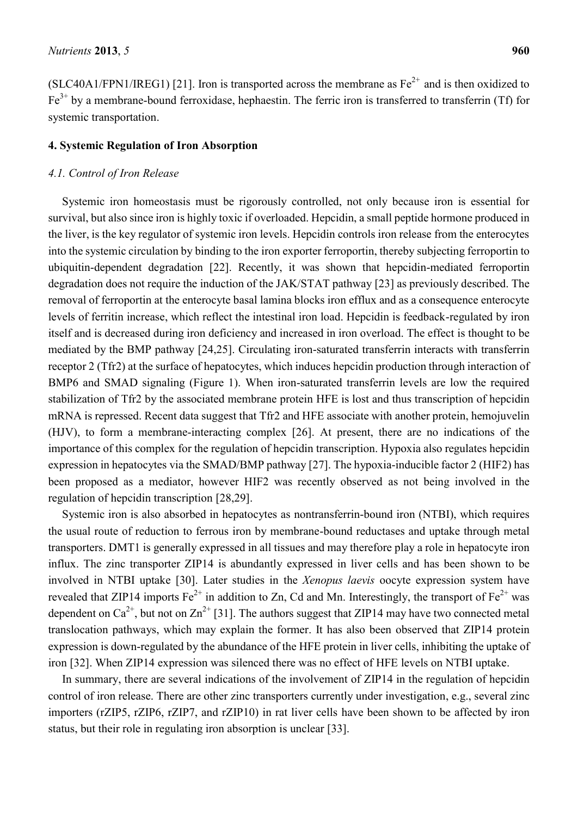(SLC40A1/FPN1/IREG1) [21]. Iron is transported across the membrane as  $Fe^{2+}$  and is then oxidized to  $Fe<sup>3+</sup>$  by a membrane-bound ferroxidase, hephaestin. The ferric iron is transferred to transferrin (Tf) for systemic transportation.

# **4. Systemic Regulation of Iron Absorption**

#### *4.1. Control of Iron Release*

Systemic iron homeostasis must be rigorously controlled, not only because iron is essential for survival, but also since iron is highly toxic if overloaded. Hepcidin, a small peptide hormone produced in the liver, is the key regulator of systemic iron levels. Hepcidin controls iron release from the enterocytes into the systemic circulation by binding to the iron exporter ferroportin, thereby subjecting ferroportin to ubiquitin-dependent degradation [22]. Recently, it was shown that hepcidin-mediated ferroportin degradation does not require the induction of the JAK/STAT pathway [23] as previously described. The removal of ferroportin at the enterocyte basal lamina blocks iron efflux and as a consequence enterocyte levels of ferritin increase, which reflect the intestinal iron load. Hepcidin is feedback-regulated by iron itself and is decreased during iron deficiency and increased in iron overload. The effect is thought to be mediated by the BMP pathway [24,25]. Circulating iron-saturated transferrin interacts with transferrin receptor 2 (Tfr2) at the surface of hepatocytes, which induces hepcidin production through interaction of BMP6 and SMAD signaling (Figure 1). When iron-saturated transferrin levels are low the required stabilization of Tfr2 by the associated membrane protein HFE is lost and thus transcription of hepcidin mRNA is repressed. Recent data suggest that Tfr2 and HFE associate with another protein, hemojuvelin (HJV), to form a membrane-interacting complex [26]. At present, there are no indications of the importance of this complex for the regulation of hepcidin transcription. Hypoxia also regulates hepcidin expression in hepatocytes via the SMAD/BMP pathway [27]. The hypoxia-inducible factor 2 (HIF2) has been proposed as a mediator, however HIF2 was recently observed as not being involved in the regulation of hepcidin transcription [28,29].

Systemic iron is also absorbed in hepatocytes as nontransferrin-bound iron (NTBI), which requires the usual route of reduction to ferrous iron by membrane-bound reductases and uptake through metal transporters. DMT1 is generally expressed in all tissues and may therefore play a role in hepatocyte iron influx. The zinc transporter ZIP14 is abundantly expressed in liver cells and has been shown to be involved in NTBI uptake [30]. Later studies in the *Xenopus laevis* oocyte expression system have revealed that ZIP14 imports  $Fe^{2+}$  in addition to Zn, Cd and Mn. Interestingly, the transport of  $Fe^{2+}$  was dependent on Ca<sup>2+</sup>, but not on Zn<sup>2+</sup> [31]. The authors suggest that ZIP14 may have two connected metal translocation pathways, which may explain the former. It has also been observed that ZIP14 protein expression is down-regulated by the abundance of the HFE protein in liver cells, inhibiting the uptake of iron [32]. When ZIP14 expression was silenced there was no effect of HFE levels on NTBI uptake.

In summary, there are several indications of the involvement of ZIP14 in the regulation of hepcidin control of iron release. There are other zinc transporters currently under investigation, e.g., several zinc importers (rZIP5, rZIP6, rZIP7, and rZIP10) in rat liver cells have been shown to be affected by iron status, but their role in regulating iron absorption is unclear [33].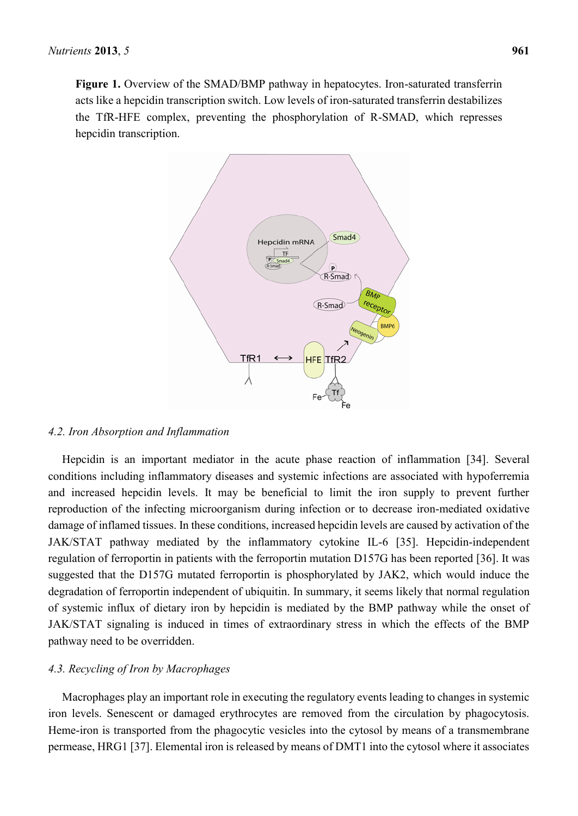**Figure 1.** Overview of the SMAD/BMP pathway in hepatocytes. Iron-saturated transferrin acts like a hepcidin transcription switch. Low levels of iron-saturated transferrin destabilizes the TfR-HFE complex, preventing the phosphorylation of R-SMAD, which represses hepcidin transcription.



#### *4.2. Iron Absorption and Inflammation*

Hepcidin is an important mediator in the acute phase reaction of inflammation [34]. Several conditions including inflammatory diseases and systemic infections are associated with hypoferremia and increased hepcidin levels. It may be beneficial to limit the iron supply to prevent further reproduction of the infecting microorganism during infection or to decrease iron-mediated oxidative damage of inflamed tissues. In these conditions, increased hepcidin levels are caused by activation of the JAK/STAT pathway mediated by the inflammatory cytokine IL-6 [35]. Hepcidin-independent regulation of ferroportin in patients with the ferroportin mutation D157G has been reported [36]. It was suggested that the D157G mutated ferroportin is phosphorylated by JAK2, which would induce the degradation of ferroportin independent of ubiquitin. In summary, it seems likely that normal regulation of systemic influx of dietary iron by hepcidin is mediated by the BMP pathway while the onset of JAK/STAT signaling is induced in times of extraordinary stress in which the effects of the BMP pathway need to be overridden.

#### *4.3. Recycling of Iron by Macrophages*

Macrophages play an important role in executing the regulatory events leading to changes in systemic iron levels. Senescent or damaged erythrocytes are removed from the circulation by phagocytosis. Heme-iron is transported from the phagocytic vesicles into the cytosol by means of a transmembrane permease, HRG1 [37]. Elemental iron is released by means of DMT1 into the cytosol where it associates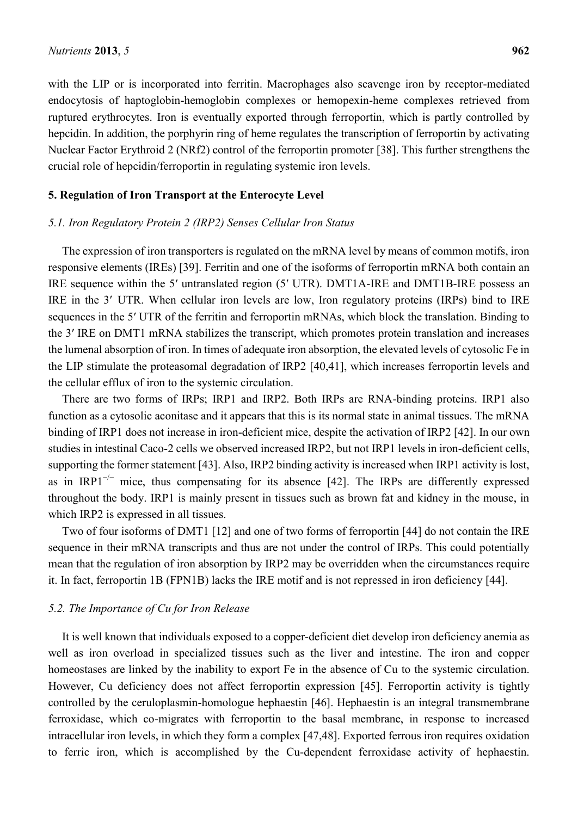with the LIP or is incorporated into ferritin. Macrophages also scavenge iron by receptor-mediated endocytosis of haptoglobin-hemoglobin complexes or hemopexin-heme complexes retrieved from ruptured erythrocytes. Iron is eventually exported through ferroportin, which is partly controlled by hepcidin. In addition, the porphyrin ring of heme regulates the transcription of ferroportin by activating Nuclear Factor Erythroid 2 (NRf2) control of the ferroportin promoter [38]. This further strengthens the crucial role of hepcidin/ferroportin in regulating systemic iron levels.

# **5. Regulation of Iron Transport at the Enterocyte Level**

## *5.1. Iron Regulatory Protein 2 (IRP2) Senses Cellular Iron Status*

The expression of iron transporters is regulated on the mRNA level by means of common motifs, iron responsive elements (IREs) [39]. Ferritin and one of the isoforms of ferroportin mRNA both contain an IRE sequence within the 5′ untranslated region (5′ UTR). DMT1A-IRE and DMT1B-IRE possess an IRE in the 3′ UTR. When cellular iron levels are low, Iron regulatory proteins (IRPs) bind to IRE sequences in the 5' UTR of the ferritin and ferroportin mRNAs, which block the translation. Binding to the 3′ IRE on DMT1 mRNA stabilizes the transcript, which promotes protein translation and increases the lumenal absorption of iron. In times of adequate iron absorption, the elevated levels of cytosolic Fe in the LIP stimulate the proteasomal degradation of IRP2 [40,41], which increases ferroportin levels and the cellular efflux of iron to the systemic circulation.

There are two forms of IRPs; IRP1 and IRP2. Both IRPs are RNA-binding proteins. IRP1 also function as a cytosolic aconitase and it appears that this is its normal state in animal tissues. The mRNA binding of IRP1 does not increase in iron-deficient mice, despite the activation of IRP2 [42]. In our own studies in intestinal Caco-2 cells we observed increased IRP2, but not IRP1 levels in iron-deficient cells, supporting the former statement [43]. Also, IRP2 binding activity is increased when IRP1 activity is lost, as in IRP1<sup>-/−</sup> mice, thus compensating for its absence [42]. The IRPs are differently expressed throughout the body. IRP1 is mainly present in tissues such as brown fat and kidney in the mouse, in which IRP2 is expressed in all tissues.

Two of four isoforms of DMT1 [12] and one of two forms of ferroportin [44] do not contain the IRE sequence in their mRNA transcripts and thus are not under the control of IRPs. This could potentially mean that the regulation of iron absorption by IRP2 may be overridden when the circumstances require it. In fact, ferroportin 1B (FPN1B) lacks the IRE motif and is not repressed in iron deficiency [44].

## *5.2. The Importance of Cu for Iron Release*

It is well known that individuals exposed to a copper-deficient diet develop iron deficiency anemia as well as iron overload in specialized tissues such as the liver and intestine. The iron and copper homeostases are linked by the inability to export Fe in the absence of Cu to the systemic circulation. However, Cu deficiency does not affect ferroportin expression [45]. Ferroportin activity is tightly controlled by the ceruloplasmin-homologue hephaestin [46]. Hephaestin is an integral transmembrane ferroxidase, which co-migrates with ferroportin to the basal membrane, in response to increased intracellular iron levels, in which they form a complex [47,48]. Exported ferrous iron requires oxidation to ferric iron, which is accomplished by the Cu-dependent ferroxidase activity of hephaestin.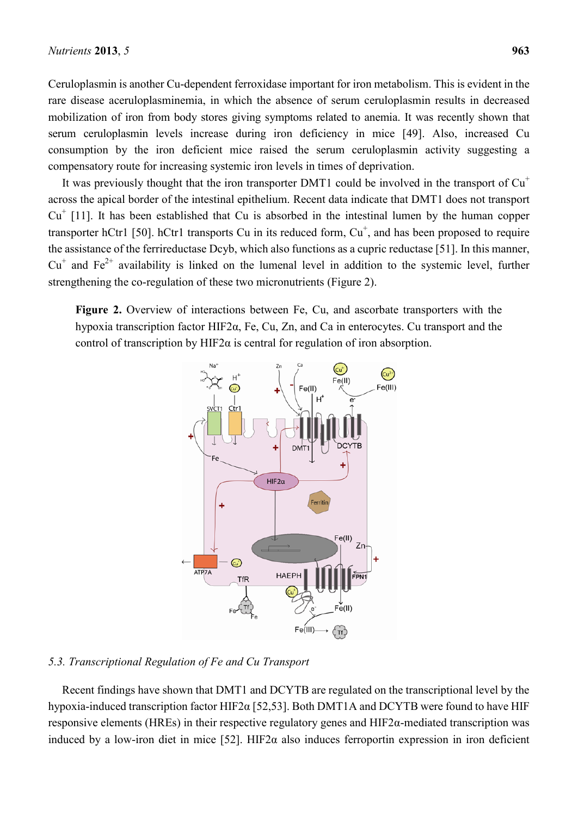Ceruloplasmin is another Cu-dependent ferroxidase important for iron metabolism. This is evident in the rare disease aceruloplasminemia, in which the absence of serum ceruloplasmin results in decreased mobilization of iron from body stores giving symptoms related to anemia. It was recently shown that serum ceruloplasmin levels increase during iron deficiency in mice [49]. Also, increased Cu consumption by the iron deficient mice raised the serum ceruloplasmin activity suggesting a compensatory route for increasing systemic iron levels in times of deprivation.

It was previously thought that the iron transporter DMT1 could be involved in the transport of  $Cu<sup>+</sup>$ across the apical border of the intestinal epithelium. Recent data indicate that DMT1 does not transport  $Cu<sup>+</sup>$  [11]. It has been established that Cu is absorbed in the intestinal lumen by the human copper transporter hCtr1 [50]. hCtr1 transports Cu in its reduced form,  $Cu<sup>+</sup>$ , and has been proposed to require the assistance of the ferrireductase Dcyb, which also functions as a cupric reductase [51]. In this manner,  $Cu<sup>+</sup>$  and Fe<sup>2+</sup> availability is linked on the lumenal level in addition to the systemic level, further strengthening the co-regulation of these two micronutrients (Figure 2).

**Figure 2.** Overview of interactions between Fe, Cu, and ascorbate transporters with the hypoxia transcription factor HIF2α, Fe, Cu, Zn, and Ca in enterocytes. Cu transport and the control of transcription by HIF2 $\alpha$  is central for regulation of iron absorption.



## *5.3. Transcriptional Regulation of Fe and Cu Transport*

Recent findings have shown that DMT1 and DCYTB are regulated on the transcriptional level by the hypoxia-induced transcription factor HIF2α [52,53]. Both DMT1A and DCYTB were found to have HIF responsive elements (HREs) in their respective regulatory genes and HIF2 $\alpha$ -mediated transcription was induced by a low-iron diet in mice [52]. HIF2 $\alpha$  also induces ferroportin expression in iron deficient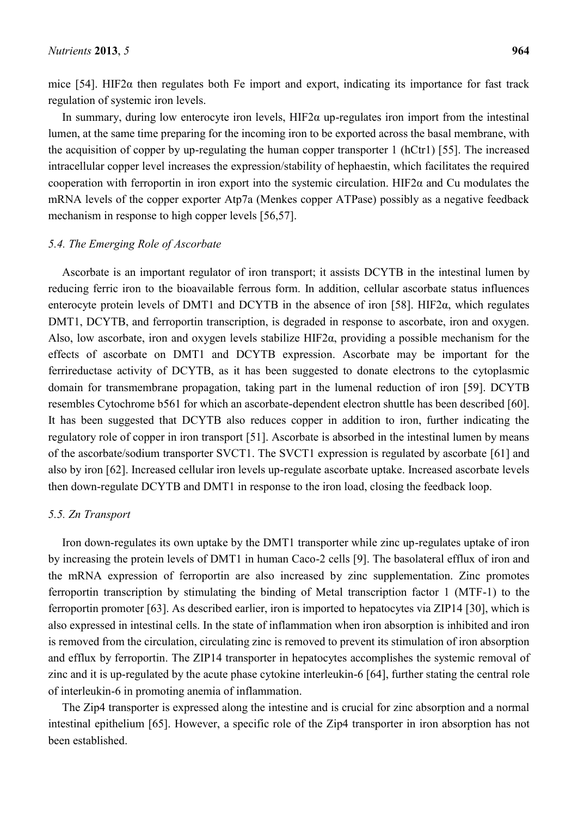mice [54]. HIF2 $\alpha$  then regulates both Fe import and export, indicating its importance for fast track regulation of systemic iron levels.

In summary, during low enterocyte iron levels,  $HIF2\alpha$  up-regulates iron import from the intestinal lumen, at the same time preparing for the incoming iron to be exported across the basal membrane, with the acquisition of copper by up-regulating the human copper transporter 1 (hCtr1) [55]. The increased intracellular copper level increases the expression/stability of hephaestin, which facilitates the required cooperation with ferroportin in iron export into the systemic circulation. HIF2 $\alpha$  and Cu modulates the mRNA levels of the copper exporter Atp7a (Menkes copper ATPase) possibly as a negative feedback mechanism in response to high copper levels [56,57].

## *5.4. The Emerging Role of Ascorbate*

Ascorbate is an important regulator of iron transport; it assists DCYTB in the intestinal lumen by reducing ferric iron to the bioavailable ferrous form. In addition, cellular ascorbate status influences enterocyte protein levels of DMT1 and DCYTB in the absence of iron [58]. HIF2α, which regulates DMT1, DCYTB, and ferroportin transcription, is degraded in response to ascorbate, iron and oxygen. Also, low ascorbate, iron and oxygen levels stabilize HIF2α, providing a possible mechanism for the effects of ascorbate on DMT1 and DCYTB expression. Ascorbate may be important for the ferrireductase activity of DCYTB, as it has been suggested to donate electrons to the cytoplasmic domain for transmembrane propagation, taking part in the lumenal reduction of iron [59]. DCYTB resembles Cytochrome b561 for which an ascorbate-dependent electron shuttle has been described [60]. It has been suggested that DCYTB also reduces copper in addition to iron, further indicating the regulatory role of copper in iron transport [51]. Ascorbate is absorbed in the intestinal lumen by means of the ascorbate/sodium transporter SVCT1. The SVCT1 expression is regulated by ascorbate [61] and also by iron [62]. Increased cellular iron levels up-regulate ascorbate uptake. Increased ascorbate levels then down-regulate DCYTB and DMT1 in response to the iron load, closing the feedback loop.

# *5.5. Zn Transport*

Iron down-regulates its own uptake by the DMT1 transporter while zinc up-regulates uptake of iron by increasing the protein levels of DMT1 in human Caco-2 cells [9]. The basolateral efflux of iron and the mRNA expression of ferroportin are also increased by zinc supplementation. Zinc promotes ferroportin transcription by stimulating the binding of Metal transcription factor 1 (MTF-1) to the ferroportin promoter [63]. As described earlier, iron is imported to hepatocytes via ZIP14 [30], which is also expressed in intestinal cells. In the state of inflammation when iron absorption is inhibited and iron is removed from the circulation, circulating zinc is removed to prevent its stimulation of iron absorption and efflux by ferroportin. The ZIP14 transporter in hepatocytes accomplishes the systemic removal of zinc and it is up-regulated by the acute phase cytokine interleukin-6 [64], further stating the central role of interleukin-6 in promoting anemia of inflammation.

The Zip4 transporter is expressed along the intestine and is crucial for zinc absorption and a normal intestinal epithelium [65]. However, a specific role of the Zip4 transporter in iron absorption has not been established.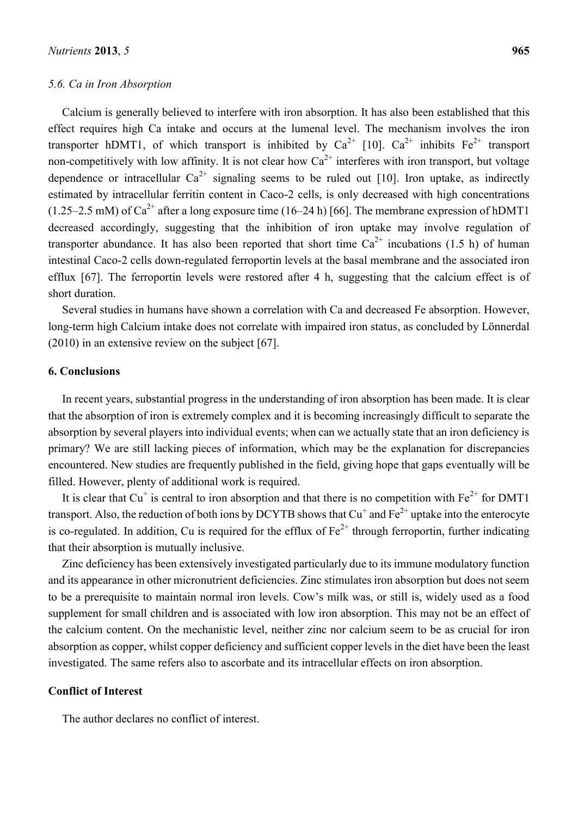## *5.6. Ca in Iron Absorption*

Calcium is generally believed to interfere with iron absorption. It has also been established that this effect requires high Ca intake and occurs at the lumenal level. The mechanism involves the iron transporter hDMT1, of which transport is inhibited by  $Ca^{2+}$  [10].  $Ca^{2+}$  inhibits Fe<sup>2+</sup> transport non-competitively with low affinity. It is not clear how  $Ca^{2+}$  interferes with iron transport, but voltage dependence or intracellular  $Ca^{2+}$  signaling seems to be ruled out [10]. Iron uptake, as indirectly estimated by intracellular ferritin content in Caco-2 cells, is only decreased with high concentrations  $(1.25-2.5 \text{ mM})$  of Ca<sup>2+</sup> after a long exposure time  $(16-24 \text{ h})$  [66]. The membrane expression of hDMT1 decreased accordingly, suggesting that the inhibition of iron uptake may involve regulation of transporter abundance. It has also been reported that short time  $Ca^{2+}$  incubations (1.5 h) of human intestinal Caco-2 cells down-regulated ferroportin levels at the basal membrane and the associated iron efflux [67]. The ferroportin levels were restored after 4 h, suggesting that the calcium effect is of short duration.

Several studies in humans have shown a correlation with Ca and decreased Fe absorption. However, long-term high Calcium intake does not correlate with impaired iron status, as concluded by Lönnerdal (2010) in an extensive review on the subject [67].

# **6. Conclusions**

In recent years, substantial progress in the understanding of iron absorption has been made. It is clear that the absorption of iron is extremely complex and it is becoming increasingly difficult to separate the absorption by several players into individual events; when can we actually state that an iron deficiency is primary? We are still lacking pieces of information, which may be the explanation for discrepancies encountered. New studies are frequently published in the field, giving hope that gaps eventually will be filled. However, plenty of additional work is required.

It is clear that Cu<sup>+</sup> is central to iron absorption and that there is no competition with  $Fe^{2+}$  for DMT1 transport. Also, the reduction of both ions by DCYTB shows that  $Cu^+$  and  $Fe^{2+}$  uptake into the enterocyte is co-regulated. In addition, Cu is required for the efflux of  $Fe^{2+}$  through ferroportin, further indicating that their absorption is mutually inclusive.

Zinc deficiency has been extensively investigated particularly due to its immune modulatory function and its appearance in other micronutrient deficiencies. Zinc stimulates iron absorption but does not seem to be a prerequisite to maintain normal iron levels. Cow's milk was, or still is, widely used as a food supplement for small children and is associated with low iron absorption. This may not be an effect of the calcium content. On the mechanistic level, neither zinc nor calcium seem to be as crucial for iron absorption as copper, whilst copper deficiency and sufficient copper levels in the diet have been the least investigated. The same refers also to ascorbate and its intracellular effects on iron absorption.

# **Conflict of Interest**

The author declares no conflict of interest.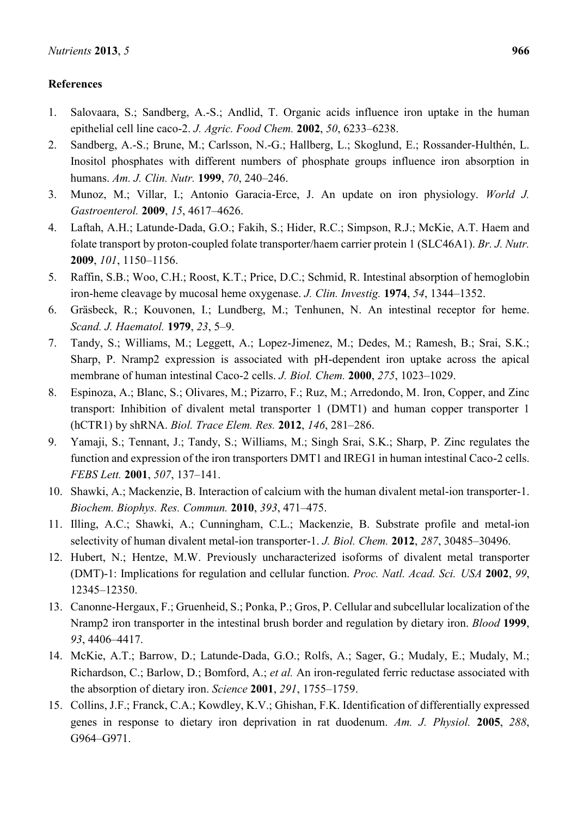# **References**

- 1. Salovaara, S.; Sandberg, A.-S.; Andlid, T. Organic acids influence iron uptake in the human epithelial cell line caco-2. *J. Agric. Food Chem.* **2002**, *50*, 6233–6238.
- 2. Sandberg, A.-S.; Brune, M.; Carlsson, N.-G.; Hallberg, L.; Skoglund, E.; Rossander-Hulthén, L. Inositol phosphates with different numbers of phosphate groups influence iron absorption in humans. *Am. J. Clin. Nutr.* **1999**, *70*, 240–246.
- 3. Munoz, M.; Villar, I.; Antonio Garacia-Erce, J. An update on iron physiology. *World J. Gastroenterol.* **2009**, *15*, 4617–4626.
- 4. Laftah, A.H.; Latunde-Dada, G.O.; Fakih, S.; Hider, R.C.; Simpson, R.J.; McKie, A.T. Haem and folate transport by proton-coupled folate transporter/haem carrier protein 1 (SLC46A1). *Br. J. Nutr.* **2009**, *101*, 1150–1156.
- 5. Raffin, S.B.; Woo, C.H.; Roost, K.T.; Price, D.C.; Schmid, R. Intestinal absorption of hemoglobin iron-heme cleavage by mucosal heme oxygenase. *J. Clin. Investig.* **1974**, *54*, 1344–1352.
- 6. Gräsbeck, R.; Kouvonen, I.; Lundberg, M.; Tenhunen, N. An intestinal receptor for heme. *Scand. J. Haematol.* **1979**, *23*, 5–9.
- 7. Tandy, S.; Williams, M.; Leggett, A.; Lopez-Jimenez, M.; Dedes, M.; Ramesh, B.; Srai, S.K.; Sharp, P. Nramp2 expression is associated with pH-dependent iron uptake across the apical membrane of human intestinal Caco-2 cells. *J. Biol. Chem.* **2000**, *275*, 1023–1029.
- 8. Espinoza, A.; Blanc, S.; Olivares, M.; Pizarro, F.; Ruz, M.; Arredondo, M. Iron, Copper, and Zinc transport: Inhibition of divalent metal transporter 1 (DMT1) and human copper transporter 1 (hCTR1) by shRNA. *Biol. Trace Elem. Res.* **2012**, *146*, 281–286.
- 9. Yamaji, S.; Tennant, J.; Tandy, S.; Williams, M.; Singh Srai, S.K.; Sharp, P. Zinc regulates the function and expression of the iron transporters DMT1 and IREG1 in human intestinal Caco-2 cells. *FEBS Lett.* **2001**, *507*, 137–141.
- 10. Shawki, A.; Mackenzie, B. Interaction of calcium with the human divalent metal-ion transporter-1. *Biochem. Biophys. Res. Commun.* **2010**, *393*, 471–475.
- 11. Illing, A.C.; Shawki, A.; Cunningham, C.L.; Mackenzie, B. Substrate profile and metal-ion selectivity of human divalent metal-ion transporter-1. *J. Biol. Chem.* **2012**, *287*, 30485–30496.
- 12. Hubert, N.; Hentze, M.W. Previously uncharacterized isoforms of divalent metal transporter (DMT)-1: Implications for regulation and cellular function. *Proc. Natl. Acad. Sci. USA* **2002**, *99*, 12345–12350.
- 13. Canonne-Hergaux, F.; Gruenheid, S.; Ponka, P.; Gros, P. Cellular and subcellular localization of the Nramp2 iron transporter in the intestinal brush border and regulation by dietary iron. *Blood* **1999**, *93*, 4406–4417.
- 14. McKie, A.T.; Barrow, D.; Latunde-Dada, G.O.; Rolfs, A.; Sager, G.; Mudaly, E.; Mudaly, M.; Richardson, C.; Barlow, D.; Bomford, A.; *et al.* An iron-regulated ferric reductase associated with the absorption of dietary iron. *Science* **2001**, *291*, 1755–1759.
- 15. Collins, J.F.; Franck, C.A.; Kowdley, K.V.; Ghishan, F.K. Identification of differentially expressed genes in response to dietary iron deprivation in rat duodenum. *Am. J. Physiol.* **2005**, *288*, G964–G971.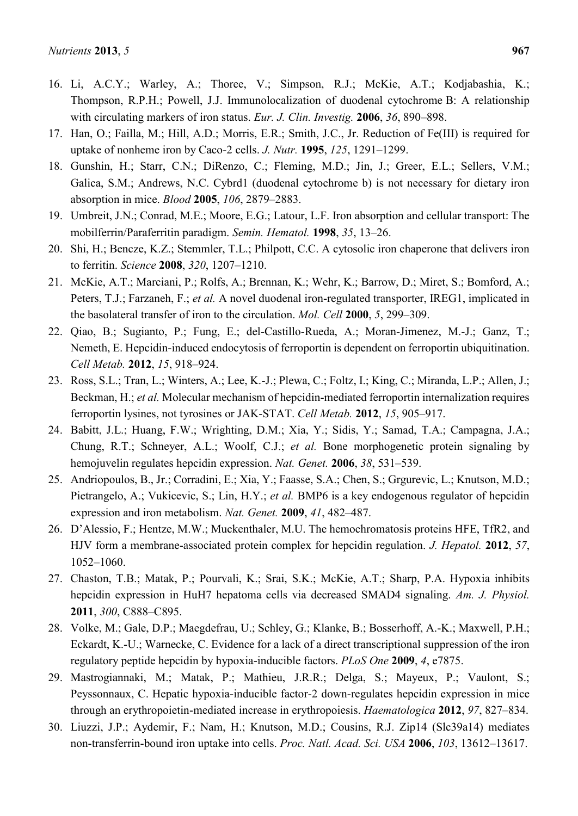- 16. Li, A.C.Y.; Warley, A.; Thoree, V.; Simpson, R.J.; McKie, A.T.; Kodjabashia, K.; Thompson, R.P.H.; Powell, J.J. Immunolocalization of duodenal cytochrome B: A relationship with circulating markers of iron status. *Eur. J. Clin. Investig.* **2006**, *36*, 890–898.
- 17. Han, O.; Failla, M.; Hill, A.D.; Morris, E.R.; Smith, J.C., Jr. Reduction of Fe(III) is required for uptake of nonheme iron by Caco-2 cells. *J. Nutr.* **1995**, *125*, 1291–1299.
- 18. Gunshin, H.; Starr, C.N.; DiRenzo, C.; Fleming, M.D.; Jin, J.; Greer, E.L.; Sellers, V.M.; Galica, S.M.; Andrews, N.C. Cybrd1 (duodenal cytochrome b) is not necessary for dietary iron absorption in mice. *Blood* **2005**, *106*, 2879–2883.
- 19. Umbreit, J.N.; Conrad, M.E.; Moore, E.G.; Latour, L.F. Iron absorption and cellular transport: The mobilferrin/Paraferritin paradigm. *Semin. Hematol.* **1998**, *35*, 13–26.
- 20. Shi, H.; Bencze, K.Z.; Stemmler, T.L.; Philpott, C.C. A cytosolic iron chaperone that delivers iron to ferritin. *Science* **2008**, *320*, 1207–1210.
- 21. McKie, A.T.; Marciani, P.; Rolfs, A.; Brennan, K.; Wehr, K.; Barrow, D.; Miret, S.; Bomford, A.; Peters, T.J.; Farzaneh, F.; *et al.* A novel duodenal iron-regulated transporter, IREG1, implicated in the basolateral transfer of iron to the circulation. *Mol. Cell* **2000**, *5*, 299–309.
- 22. Qiao, B.; Sugianto, P.; Fung, E.; del-Castillo-Rueda, A.; Moran-Jimenez, M.-J.; Ganz, T.; Nemeth, E. Hepcidin-induced endocytosis of ferroportin is dependent on ferroportin ubiquitination. *Cell Metab.* **2012**, *15*, 918–924.
- 23. Ross, S.L.; Tran, L.; Winters, A.; Lee, K.-J.; Plewa, C.; Foltz, I.; King, C.; Miranda, L.P.; Allen, J.; Beckman, H.; *et al.* Molecular mechanism of hepcidin-mediated ferroportin internalization requires ferroportin lysines, not tyrosines or JAK-STAT. *Cell Metab.* **2012**, *15*, 905–917.
- 24. Babitt, J.L.; Huang, F.W.; Wrighting, D.M.; Xia, Y.; Sidis, Y.; Samad, T.A.; Campagna, J.A.; Chung, R.T.; Schneyer, A.L.; Woolf, C.J.; *et al.* Bone morphogenetic protein signaling by hemojuvelin regulates hepcidin expression. *Nat. Genet.* **2006**, *38*, 531–539.
- 25. Andriopoulos, B., Jr.; Corradini, E.; Xia, Y.; Faasse, S.A.; Chen, S.; Grgurevic, L.; Knutson, M.D.; Pietrangelo, A.; Vukicevic, S.; Lin, H.Y.; *et al.* BMP6 is a key endogenous regulator of hepcidin expression and iron metabolism. *Nat. Genet.* **2009**, *41*, 482–487.
- 26. D'Alessio, F.; Hentze, M.W.; Muckenthaler, M.U. The hemochromatosis proteins HFE, TfR2, and HJV form a membrane-associated protein complex for hepcidin regulation. *J. Hepatol.* **2012**, *57*, 1052–1060.
- 27. Chaston, T.B.; Matak, P.; Pourvali, K.; Srai, S.K.; McKie, A.T.; Sharp, P.A. Hypoxia inhibits hepcidin expression in HuH7 hepatoma cells via decreased SMAD4 signaling. *Am. J. Physiol.* **2011**, *300*, C888–C895.
- 28. Volke, M.; Gale, D.P.; Maegdefrau, U.; Schley, G.; Klanke, B.; Bosserhoff, A.-K.; Maxwell, P.H.; Eckardt, K.-U.; Warnecke, C. Evidence for a lack of a direct transcriptional suppression of the iron regulatory peptide hepcidin by hypoxia-inducible factors. *PLoS One* **2009**, *4*, e7875.
- 29. Mastrogiannaki, M.; Matak, P.; Mathieu, J.R.R.; Delga, S.; Mayeux, P.; Vaulont, S.; Peyssonnaux, C. Hepatic hypoxia-inducible factor-2 down-regulates hepcidin expression in mice through an erythropoietin-mediated increase in erythropoiesis. *Haematologica* **2012**, *97*, 827–834.
- 30. Liuzzi, J.P.; Aydemir, F.; Nam, H.; Knutson, M.D.; Cousins, R.J. Zip14 (Slc39a14) mediates non-transferrin-bound iron uptake into cells. *Proc. Natl. Acad. Sci. USA* **2006**, *103*, 13612–13617.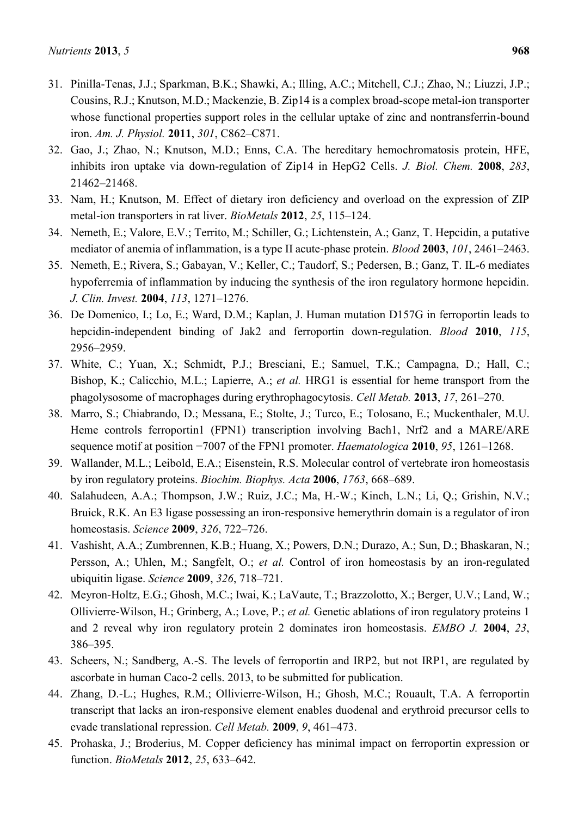- 31. Pinilla-Tenas, J.J.; Sparkman, B.K.; Shawki, A.; Illing, A.C.; Mitchell, C.J.; Zhao, N.; Liuzzi, J.P.; Cousins, R.J.; Knutson, M.D.; Mackenzie, B. Zip14 is a complex broad-scope metal-ion transporter whose functional properties support roles in the cellular uptake of zinc and nontransferrin-bound iron. *Am. J. Physiol.* **2011**, *301*, C862–C871.
- 32. Gao, J.; Zhao, N.; Knutson, M.D.; Enns, C.A. The hereditary hemochromatosis protein, HFE, inhibits iron uptake via down-regulation of Zip14 in HepG2 Cells. *J. Biol. Chem.* **2008**, *283*, 21462–21468.
- 33. Nam, H.; Knutson, M. Effect of dietary iron deficiency and overload on the expression of ZIP metal-ion transporters in rat liver. *BioMetals* **2012**, *25*, 115–124.
- 34. Nemeth, E.; Valore, E.V.; Territo, M.; Schiller, G.; Lichtenstein, A.; Ganz, T. Hepcidin, a putative mediator of anemia of inflammation, is a type II acute-phase protein. *Blood* **2003**, *101*, 2461–2463.
- 35. Nemeth, E.; Rivera, S.; Gabayan, V.; Keller, C.; Taudorf, S.; Pedersen, B.; Ganz, T. IL-6 mediates hypoferremia of inflammation by inducing the synthesis of the iron regulatory hormone hepcidin. *J. Clin. Invest.* **2004**, *113*, 1271–1276.
- 36. De Domenico, I.; Lo, E.; Ward, D.M.; Kaplan, J. Human mutation D157G in ferroportin leads to hepcidin-independent binding of Jak2 and ferroportin down-regulation. *Blood* **2010**, *115*, 2956–2959.
- 37. White, C.; Yuan, X.; Schmidt, P.J.; Bresciani, E.; Samuel, T.K.; Campagna, D.; Hall, C.; Bishop, K.; Calicchio, M.L.; Lapierre, A.; *et al.* HRG1 is essential for heme transport from the phagolysosome of macrophages during erythrophagocytosis. *Cell Metab.* **2013**, *17*, 261–270.
- 38. Marro, S.; Chiabrando, D.; Messana, E.; Stolte, J.; Turco, E.; Tolosano, E.; Muckenthaler, M.U. Heme controls ferroportin1 (FPN1) transcription involving Bach1, Nrf2 and a MARE/ARE sequence motif at position −7007 of the FPN1 promoter. *Haematologica* **2010**, *95*, 1261–1268.
- 39. Wallander, M.L.; Leibold, E.A.; Eisenstein, R.S. Molecular control of vertebrate iron homeostasis by iron regulatory proteins. *Biochim. Biophys. Acta* **2006**, *1763*, 668–689.
- 40. Salahudeen, A.A.; Thompson, J.W.; Ruiz, J.C.; Ma, H.-W.; Kinch, L.N.; Li, Q.; Grishin, N.V.; Bruick, R.K. An E3 ligase possessing an iron-responsive hemerythrin domain is a regulator of iron homeostasis. *Science* **2009**, *326*, 722–726.
- 41. Vashisht, A.A.; Zumbrennen, K.B.; Huang, X.; Powers, D.N.; Durazo, A.; Sun, D.; Bhaskaran, N.; Persson, A.; Uhlen, M.; Sangfelt, O.; *et al.* Control of iron homeostasis by an iron-regulated ubiquitin ligase. *Science* **2009**, *326*, 718–721.
- 42. Meyron-Holtz, E.G.; Ghosh, M.C.; Iwai, K.; LaVaute, T.; Brazzolotto, X.; Berger, U.V.; Land, W.; Ollivierre-Wilson, H.; Grinberg, A.; Love, P.; *et al.* Genetic ablations of iron regulatory proteins 1 and 2 reveal why iron regulatory protein 2 dominates iron homeostasis. *EMBO J.* **2004**, *23*, 386–395.
- 43. Scheers, N.; Sandberg, A.-S. The levels of ferroportin and IRP2, but not IRP1, are regulated by ascorbate in human Caco-2 cells. 2013, to be submitted for publication.
- 44. Zhang, D.-L.; Hughes, R.M.; Ollivierre-Wilson, H.; Ghosh, M.C.; Rouault, T.A. A ferroportin transcript that lacks an iron-responsive element enables duodenal and erythroid precursor cells to evade translational repression. *Cell Metab.* **2009**, *9*, 461–473.
- 45. Prohaska, J.; Broderius, M. Copper deficiency has minimal impact on ferroportin expression or function. *BioMetals* **2012**, *25*, 633–642.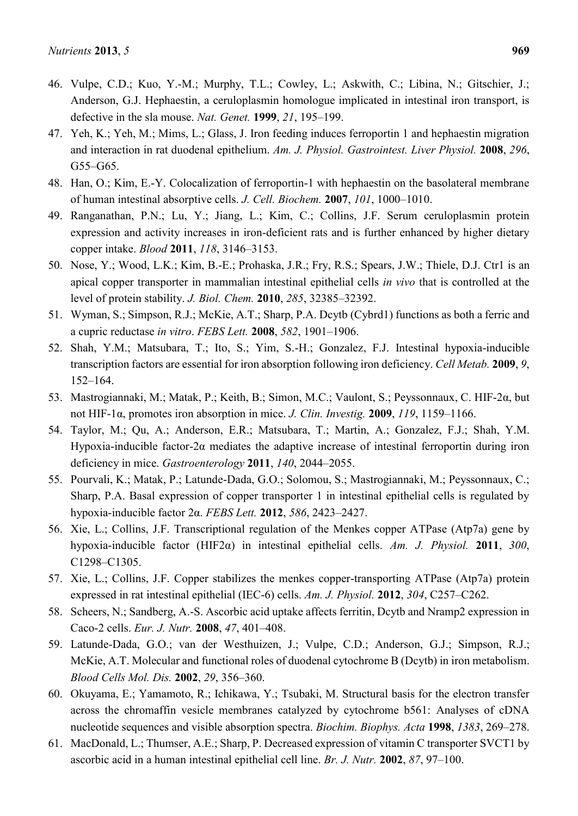- 46. Vulpe, C.D.; Kuo, Y.-M.; Murphy, T.L.; Cowley, L.; Askwith, C.; Libina, N.; Gitschier, J.; Anderson, G.J. Hephaestin, a ceruloplasmin homologue implicated in intestinal iron transport, is defective in the sla mouse. *Nat. Genet.* **1999**, *21*, 195–199.
- 47. Yeh, K.; Yeh, M.; Mims, L.; Glass, J. Iron feeding induces ferroportin 1 and hephaestin migration and interaction in rat duodenal epithelium. *Am. J. Physiol. Gastrointest. Liver Physiol.* **2008**, *296*, G55–G65.
- 48. Han, O.; Kim, E.-Y. Colocalization of ferroportin-1 with hephaestin on the basolateral membrane of human intestinal absorptive cells. *J. Cell. Biochem.* **2007**, *101*, 1000–1010.
- 49. Ranganathan, P.N.; Lu, Y.; Jiang, L.; Kim, C.; Collins, J.F. Serum ceruloplasmin protein expression and activity increases in iron-deficient rats and is further enhanced by higher dietary copper intake. *Blood* **2011**, *118*, 3146–3153.
- 50. Nose, Y.; Wood, L.K.; Kim, B.-E.; Prohaska, J.R.; Fry, R.S.; Spears, J.W.; Thiele, D.J. Ctr1 is an apical copper transporter in mammalian intestinal epithelial cells *in vivo* that is controlled at the level of protein stability. *J. Biol. Chem.* **2010**, *285*, 32385–32392.
- 51. Wyman, S.; Simpson, R.J.; McKie, A.T.; Sharp, P.A. Dcytb (Cybrd1) functions as both a ferric and a cupric reductase *in vitro*. *FEBS Lett.* **2008**, *582*, 1901–1906.
- 52. Shah, Y.M.; Matsubara, T.; Ito, S.; Yim, S.-H.; Gonzalez, F.J. Intestinal hypoxia-inducible transcription factors are essential for iron absorption following iron deficiency. *Cell Metab.* **2009**, *9*, 152–164.
- 53. Mastrogiannaki, M.; Matak, P.; Keith, B.; Simon, M.C.; Vaulont, S.; Peyssonnaux, C. HIF-2α, but not HIF-1α, promotes iron absorption in mice. *J. Clin. Investig.* **2009**, *119*, 1159–1166.
- 54. Taylor, M.; Qu, A.; Anderson, E.R.; Matsubara, T.; Martin, A.; Gonzalez, F.J.; Shah, Y.M. Hypoxia-inducible factor-2α mediates the adaptive increase of intestinal ferroportin during iron deficiency in mice. *Gastroenterology* **2011**, *140*, 2044–2055.
- 55. Pourvali, K.; Matak, P.; Latunde-Dada, G.O.; Solomou, S.; Mastrogiannaki, M.; Peyssonnaux, C.; Sharp, P.A. Basal expression of copper transporter 1 in intestinal epithelial cells is regulated by hypoxia-inducible factor 2α. *FEBS Lett.* **2012**, *586*, 2423–2427.
- 56. Xie, L.; Collins, J.F. Transcriptional regulation of the Menkes copper ATPase (Atp7a) gene by hypoxia-inducible factor (HIF2α) in intestinal epithelial cells. *Am. J. Physiol.* **2011**, *300*, C1298–C1305.
- 57. Xie, L.; Collins, J.F. Copper stabilizes the menkes copper-transporting ATPase (Atp7a) protein expressed in rat intestinal epithelial (IEC-6) cells. *Am. J. Physiol.* **2012**, *304*, C257–C262.
- 58. Scheers, N.; Sandberg, A.-S. Ascorbic acid uptake affects ferritin, Dcytb and Nramp2 expression in Caco-2 cells. *Eur. J. Nutr.* **2008**, *47*, 401–408.
- 59. Latunde-Dada, G.O.; van der Westhuizen, J.; Vulpe, C.D.; Anderson, G.J.; Simpson, R.J.; McKie, A.T. Molecular and functional roles of duodenal cytochrome B (Dcytb) in iron metabolism. *Blood Cells Mol. Dis.* **2002**, *29*, 356–360.
- 60. Okuyama, E.; Yamamoto, R.; Ichikawa, Y.; Tsubaki, M. Structural basis for the electron transfer across the chromaffin vesicle membranes catalyzed by cytochrome b561: Analyses of cDNA nucleotide sequences and visible absorption spectra. *Biochim. Biophys. Acta* **1998**, *1383*, 269–278.
- 61. MacDonald, L.; Thumser, A.E.; Sharp, P. Decreased expression of vitamin C transporter SVCT1 by ascorbic acid in a human intestinal epithelial cell line. *Br. J. Nutr.* **2002**, *87*, 97–100.